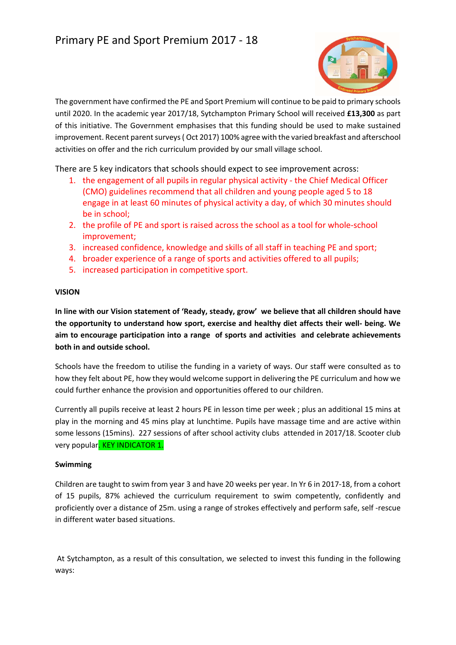

The government have confirmed the PE and Sport Premium will continue to be paid to primary schools until 2020. In the academic year 2017/18, Sytchampton Primary School will received **£13,300** as part of this initiative. The Government emphasises that this funding should be used to make sustained improvement. Recent parent surveys ( Oct 2017) 100% agree with the varied breakfast and afterschool activities on offer and the rich curriculum provided by our small village school.

There are 5 key indicators that schools should expect to see improvement across:

- 1. the engagement of all pupils in regular physical activity the Chief Medical Officer (CMO) guidelines recommend that all children and young people aged 5 to 18 engage in at least 60 minutes of physical activity a day, of which 30 minutes should be in school;
- 2. the profile of PE and sport is raised across the school as a tool for whole-school improvement;
- 3. increased confidence, knowledge and skills of all staff in teaching PE and sport;
- 4. broader experience of a range of sports and activities offered to all pupils;
- 5. increased participation in competitive sport.

#### **VISION**

**In line with our Vision statement of 'Ready, steady, grow' we believe that all children should have the opportunity to understand how sport, exercise and healthy diet affects their well- being. We aim to encourage participation into a range of sports and activities and celebrate achievements both in and outside school.** 

Schools have the freedom to utilise the funding in a variety of ways. Our staff were consulted as to how they felt about PE, how they would welcome support in delivering the PE curriculum and how we could further enhance the provision and opportunities offered to our children.

Currently all pupils receive at least 2 hours PE in lesson time per week ; plus an additional 15 mins at play in the morning and 45 mins play at lunchtime. Pupils have massage time and are active within some lessons (15mins). 227 sessions of after school activity clubs attended in 2017/18. Scooter club very popular. KEY INDICATOR 1.

#### **Swimming**

Children are taught to swim from year 3 and have 20 weeks per year. In Yr 6 in 2017-18, from a cohort of 15 pupils, 87% achieved the curriculum requirement to swim competently, confidently and proficiently over a distance of 25m. using a range of strokes effectively and perform safe, self -rescue in different water based situations.

 At Sytchampton, as a result of this consultation, we selected to invest this funding in the following ways: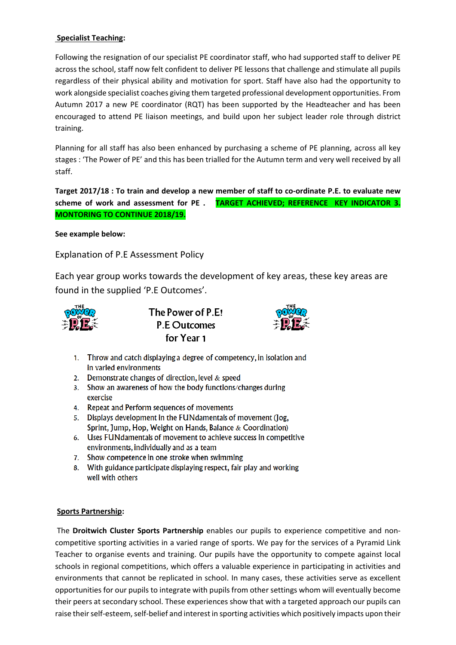## **Specialist Teaching:**

Following the resignation of our specialist PE coordinator staff, who had supported staff to deliver PE across the school, staff now felt confident to deliver PE lessons that challenge and stimulate all pupils regardless of their physical ability and motivation for sport. Staff have also had the opportunity to work alongside specialist coaches giving them targeted professional development opportunities. From Autumn 2017 a new PE coordinator (RQT) has been supported by the Headteacher and has been encouraged to attend PE liaison meetings, and build upon her subject leader role through district training.

Planning for all staff has also been enhanced by purchasing a scheme of PE planning, across all key stages : 'The Power of PE' and this has been trialled for the Autumn term and very well received by all staff.

**Target 2017/18 : To train and develop a new member of staff to co-ordinate P.E. to evaluate new scheme of work and assessment for PE . TARGET ACHIEVED; REFERENCE KEY INDICATOR 3. MONTORING TO CONTINUE 2018/19.** 

**See example below:** 

Explanation of P.E Assessment Policy

Each year group works towards the development of key areas, these key areas are found in the supplied 'P.E Outcomes'.



The Power of P.E! **P.E Outcomes** for Year 1



- 1. Throw and catch displaying a degree of competency, in isolation and in varied environments
- 2. Demonstrate changes of direction, level & speed
- 3. Show an awareness of how the body functions/changes during exercise
- 4. Repeat and Perform sequences of movements
- 5. Displays development in the FUNdamentals of movement (Jog, Sprint, Jump, Hop, Weight on Hands, Balance  $\&$  Coordination)
- 6. Uses FUNdamentals of movement to achieve success in competitive environments, individually and as a team
- 7. Show competence in one stroke when swimming
- 8. With guidance participate displaying respect, fair play and working well with others

### **Sports Partnership:**

 The **Droitwich Cluster Sports Partnership** enables our pupils to experience competitive and noncompetitive sporting activities in a varied range of sports. We pay for the services of a Pyramid Link Teacher to organise events and training. Our pupils have the opportunity to compete against local schools in regional competitions, which offers a valuable experience in participating in activities and environments that cannot be replicated in school. In many cases, these activities serve as excellent opportunities for our pupils to integrate with pupils from other settings whom will eventually become their peers at secondary school. These experiences show that with a targeted approach our pupils can raise their self-esteem, self-belief and interest in sporting activities which positively impacts upon their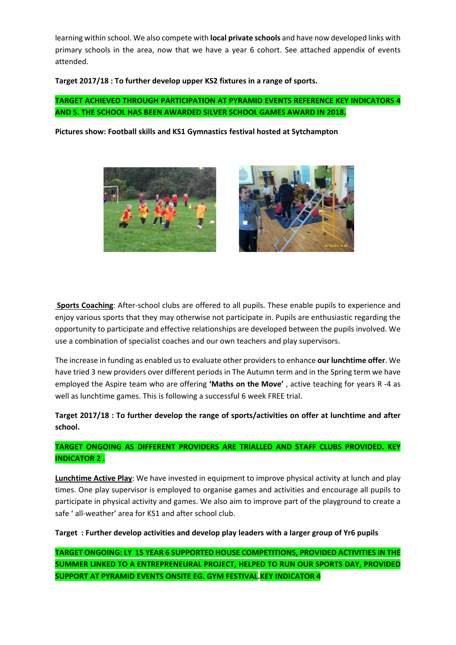learning within school. We also compete with **local private schools** and have now developed links with primary schools in the area, now that we have a year 6 cohort. See attached appendix of events attended.

**Target 2017/18 : To further develop upper KS2 fixtures in a range of sports.** 

## **TARGET ACHIEVED THROUGH PARTICIPATION AT PYRAMID EVENTS REFERENCE KEY INDICATORS 4 AND 5. THE SCHOOL HAS BEEN AWARDED SILVER SCHOOL GAMES AWARD IN 2018.**

**Pictures show: Football skills and KS1 Gymnastics festival hosted at Sytchampton** 





 **Sports Coaching**: After-school clubs are offered to all pupils. These enable pupils to experience and enjoy various sports that they may otherwise not participate in. Pupils are enthusiastic regarding the opportunity to participate and effective relationships are developed between the pupils involved. We use a combination of specialist coaches and our own teachers and play supervisors.

The increase in funding as enabled us to evaluate other providers to enhance **our lunchtime offer**. We have tried 3 new providers over different periods in The Autumn term and in the Spring term we have employed the Aspire team who are offering **'Maths on the Move'** , active teaching for years R -4 as well as lunchtime games. This is following a successful 6 week FREE trial.

## **Target 2017/18 : To further develop the range of sports/activities on offer at lunchtime and after school.**

## **TARGET ONGOING AS DIFFERENT PROVIDERS ARE TRIALLED AND STAFF CLUBS PROVIDED. KEY INDICATOR 2 .**

**Lunchtime Active Play**: We have invested in equipment to improve physical activity at lunch and play times. One play supervisor is employed to organise games and activities and encourage all pupils to participate in physical activity and games. We also aim to improve part of the playground to create a safe ' all-weather' area for KS1 and after school club.

**Target : Further develop activities and develop play leaders with a larger group of Yr6 pupils** 

**TARGET ONGOING: LY 15 YEAR 6 SUPPORTED HOUSE COMPETITIONS, PROVIDED ACTIVITIES IN THE SUMMER LINKED TO A ENTREPRENEURAL PROJECT, HELPED TO RUN OUR SPORTS DAY, PROVIDED SUPPORT AT PYRAMID EVENTS ONSITE EG. GYM FESTIVAL.KEY INDICATOR 4**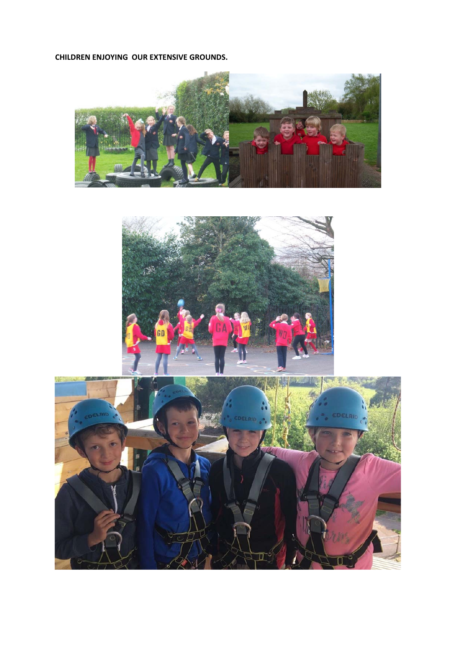**CHILDREN ENJOYING OUR EXTENSIVE GROUNDS.** 





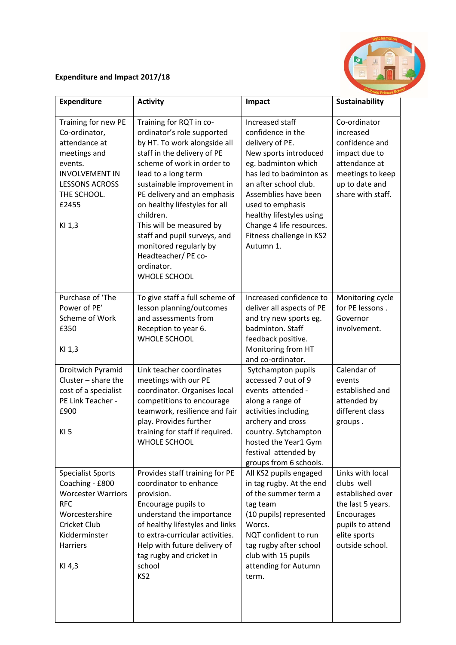# **Expenditure and Impact 2017/18**

| <b>Expenditure</b>                                                                                                                                                   | <b>Activity</b>                                                                                                                                                                                                                                                                                                                                                                                                                        | Impact                                                                                                                                                                                                                                                                                                   | <b>Sustainability</b>                                                                                                                        |
|----------------------------------------------------------------------------------------------------------------------------------------------------------------------|----------------------------------------------------------------------------------------------------------------------------------------------------------------------------------------------------------------------------------------------------------------------------------------------------------------------------------------------------------------------------------------------------------------------------------------|----------------------------------------------------------------------------------------------------------------------------------------------------------------------------------------------------------------------------------------------------------------------------------------------------------|----------------------------------------------------------------------------------------------------------------------------------------------|
| Training for new PE<br>Co-ordinator,<br>attendance at<br>meetings and<br>events.<br><b>INVOLVEMENT IN</b><br><b>LESSONS ACROSS</b><br>THE SCHOOL.<br>£2455<br>KI 1,3 | Training for RQT in co-<br>ordinator's role supported<br>by HT. To work alongside all<br>staff in the delivery of PE<br>scheme of work in order to<br>lead to a long term<br>sustainable improvement in<br>PE delivery and an emphasis<br>on healthy lifestyles for all<br>children.<br>This will be measured by<br>staff and pupil surveys, and<br>monitored regularly by<br>Headteacher/ PE co-<br>ordinator.<br><b>WHOLE SCHOOL</b> | Increased staff<br>confidence in the<br>delivery of PE.<br>New sports introduced<br>eg. badminton which<br>has led to badminton as<br>an after school club.<br>Assemblies have been<br>used to emphasis<br>healthy lifestyles using<br>Change 4 life resources.<br>Fitness challenge in KS2<br>Autumn 1. | Co-ordinator<br>increased<br>confidence and<br>impact due to<br>attendance at<br>meetings to keep<br>up to date and<br>share with staff.     |
| Purchase of 'The<br>Power of PE'<br>Scheme of Work<br>£350<br>KI 1,3                                                                                                 | To give staff a full scheme of<br>lesson planning/outcomes<br>and assessments from<br>Reception to year 6.<br><b>WHOLE SCHOOL</b>                                                                                                                                                                                                                                                                                                      | Increased confidence to<br>deliver all aspects of PE<br>and try new sports eg.<br>badminton. Staff<br>feedback positive.<br>Monitoring from HT<br>and co-ordinator.                                                                                                                                      | Monitoring cycle<br>for PE lessons.<br>Governor<br>involvement.                                                                              |
| Droitwich Pyramid<br>Cluster $-$ share the<br>cost of a specialist<br>PE Link Teacher -<br>£900<br>KI <sub>5</sub>                                                   | Link teacher coordinates<br>meetings with our PE<br>coordinator. Organises local<br>competitions to encourage<br>teamwork, resilience and fair<br>play. Provides further<br>training for staff if required.<br><b>WHOLE SCHOOL</b>                                                                                                                                                                                                     | Sytchampton pupils<br>accessed 7 out of 9<br>events attended -<br>along a range of<br>activities including<br>archery and cross<br>country. Sytchampton<br>hosted the Year1 Gym<br>festival attended by<br>groups from 6 schools.                                                                        | Calendar of<br>events<br>established and<br>attended by<br>different class<br>groups.                                                        |
| <b>Specialist Sports</b><br>Coaching - £800<br><b>Worcester Warriors</b><br><b>RFC</b><br>Worcestershire<br>Cricket Club<br>Kidderminster<br>Harriers<br>KI 4,3      | Provides staff training for PE<br>coordinator to enhance<br>provision.<br>Encourage pupils to<br>understand the importance<br>of healthy lifestyles and links<br>to extra-curricular activities.<br>Help with future delivery of<br>tag rugby and cricket in<br>school<br>KS <sub>2</sub>                                                                                                                                              | All KS2 pupils engaged<br>in tag rugby. At the end<br>of the summer term a<br>tag team<br>(10 pupils) represented<br>Worcs.<br>NQT confident to run<br>tag rugby after school<br>club with 15 pupils<br>attending for Autumn<br>term.                                                                    | Links with local<br>clubs well<br>established over<br>the last 5 years.<br>Encourages<br>pupils to attend<br>elite sports<br>outside school. |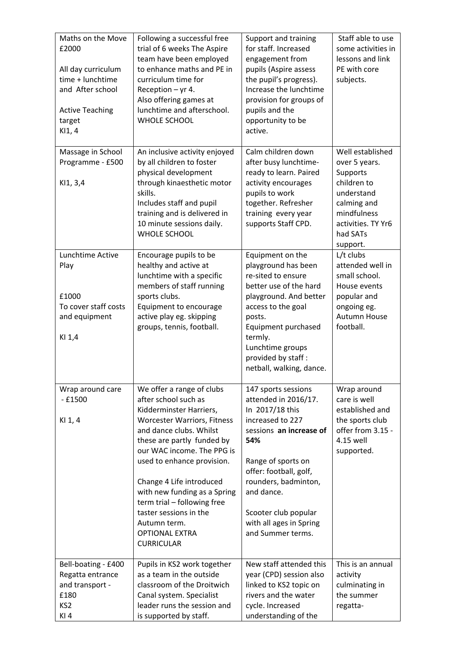| Maths on the Move<br>£2000<br>All day curriculum<br>time + lunchtime<br>and After school<br><b>Active Teaching</b><br>target<br>KI1, 4 | Following a successful free<br>trial of 6 weeks The Aspire<br>team have been employed<br>to enhance maths and PE in<br>curriculum time for<br>Reception $-$ yr 4.<br>Also offering games at<br>lunchtime and afterschool.<br><b>WHOLE SCHOOL</b>                                                                                                                                                                           | Support and training<br>for staff. Increased<br>engagement from<br>pupils (Aspire assess<br>the pupil's progress).<br>Increase the lunchtime<br>provision for groups of<br>pupils and the<br>opportunity to be<br>active.                                                          | Staff able to use<br>some activities in<br>lessons and link<br>PE with core<br>subjects.                          |
|----------------------------------------------------------------------------------------------------------------------------------------|----------------------------------------------------------------------------------------------------------------------------------------------------------------------------------------------------------------------------------------------------------------------------------------------------------------------------------------------------------------------------------------------------------------------------|------------------------------------------------------------------------------------------------------------------------------------------------------------------------------------------------------------------------------------------------------------------------------------|-------------------------------------------------------------------------------------------------------------------|
| Massage in School<br>Programme - £500                                                                                                  | An inclusive activity enjoyed<br>by all children to foster<br>physical development                                                                                                                                                                                                                                                                                                                                         | Calm children down<br>after busy lunchtime-<br>ready to learn. Paired                                                                                                                                                                                                              | Well established<br>over 5 years.<br>Supports<br>children to                                                      |
| K11, 3,4                                                                                                                               | through kinaesthetic motor<br>skills.<br>Includes staff and pupil<br>training and is delivered in<br>10 minute sessions daily.<br><b>WHOLE SCHOOL</b>                                                                                                                                                                                                                                                                      | activity encourages<br>pupils to work<br>together. Refresher<br>training every year<br>supports Staff CPD.                                                                                                                                                                         | understand<br>calming and<br>mindfulness<br>activities. TY Yr6<br>had SATs<br>support.                            |
| Lunchtime Active<br>Play                                                                                                               | Encourage pupils to be<br>healthy and active at<br>lunchtime with a specific<br>members of staff running                                                                                                                                                                                                                                                                                                                   | Equipment on the<br>playground has been<br>re-sited to ensure<br>better use of the hard                                                                                                                                                                                            | L/t clubs<br>attended well in<br>small school.<br>House events                                                    |
| £1000<br>To cover staff costs<br>and equipment<br>KI 1,4                                                                               | sports clubs.<br>Equipment to encourage<br>active play eg. skipping<br>groups, tennis, football.                                                                                                                                                                                                                                                                                                                           | playground. And better<br>access to the goal<br>posts.<br>Equipment purchased<br>termly.<br>Lunchtime groups<br>provided by staff:<br>netball, walking, dance.                                                                                                                     | popular and<br>ongoing eg.<br>Autumn House<br>football.                                                           |
| Wrap around care<br>$-£1500$<br>KI 1, 4                                                                                                | We offer a range of clubs<br>after school such as<br>Kidderminster Harriers,<br><b>Worcester Warriors, Fitness</b><br>and dance clubs. Whilst<br>these are partly funded by<br>our WAC income. The PPG is<br>used to enhance provision.<br>Change 4 Life introduced<br>with new funding as a Spring<br>term trial - following free<br>taster sessions in the<br>Autumn term.<br><b>OPTIONAL EXTRA</b><br><b>CURRICULAR</b> | 147 sports sessions<br>attended in 2016/17.<br>In 2017/18 this<br>increased to 227<br>sessions an increase of<br>54%<br>Range of sports on<br>offer: football, golf,<br>rounders, badminton,<br>and dance.<br>Scooter club popular<br>with all ages in Spring<br>and Summer terms. | Wrap around<br>care is well<br>established and<br>the sports club<br>offer from 3.15 -<br>4.15 well<br>supported. |
| Bell-boating - £400<br>Regatta entrance<br>and transport -<br>£180<br>KS <sub>2</sub><br>KI4                                           | Pupils in KS2 work together<br>as a team in the outside<br>classroom of the Droitwich<br>Canal system. Specialist<br>leader runs the session and<br>is supported by staff.                                                                                                                                                                                                                                                 | New staff attended this<br>year (CPD) session also<br>linked to KS2 topic on<br>rivers and the water<br>cycle. Increased<br>understanding of the                                                                                                                                   | This is an annual<br>activity<br>culminating in<br>the summer<br>regatta-                                         |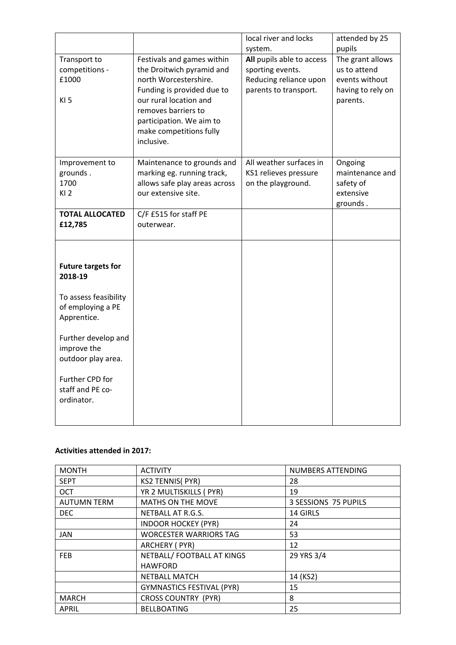|                                                                                                                                                                                                                    |                                                                                                                                                                                                                                      | local river and locks<br>system.                                                                 | attended by 25<br>pupils                                                            |
|--------------------------------------------------------------------------------------------------------------------------------------------------------------------------------------------------------------------|--------------------------------------------------------------------------------------------------------------------------------------------------------------------------------------------------------------------------------------|--------------------------------------------------------------------------------------------------|-------------------------------------------------------------------------------------|
| Transport to<br>competitions -<br>£1000<br>KI <sub>5</sub>                                                                                                                                                         | Festivals and games within<br>the Droitwich pyramid and<br>north Worcestershire.<br>Funding is provided due to<br>our rural location and<br>removes barriers to<br>participation. We aim to<br>make competitions fully<br>inclusive. | All pupils able to access<br>sporting events.<br>Reducing reliance upon<br>parents to transport. | The grant allows<br>us to attend<br>events without<br>having to rely on<br>parents. |
| Improvement to<br>grounds.<br>1700<br>K12                                                                                                                                                                          | Maintenance to grounds and<br>marking eg. running track,<br>allows safe play areas across<br>our extensive site.                                                                                                                     | All weather surfaces in<br>KS1 relieves pressure<br>on the playground.                           | Ongoing<br>maintenance and<br>safety of<br>extensive<br>grounds.                    |
| <b>TOTAL ALLOCATED</b><br>£12,785                                                                                                                                                                                  | C/F £515 for staff PE<br>outerwear.                                                                                                                                                                                                  |                                                                                                  |                                                                                     |
| <b>Future targets for</b><br>2018-19<br>To assess feasibility<br>of employing a PE<br>Apprentice.<br>Further develop and<br>improve the<br>outdoor play area.<br>Further CPD for<br>staff and PE co-<br>ordinator. |                                                                                                                                                                                                                                      |                                                                                                  |                                                                                     |

#### **Activities attended in 2017:**

| <b>MONTH</b>       | <b>ACTIVITY</b>                  | NUMBERS ATTENDING    |
|--------------------|----------------------------------|----------------------|
| <b>SEPT</b>        | <b>KS2 TENNIS( PYR)</b>          | 28                   |
| <b>OCT</b>         | YR 2 MULTISKILLS ( PYR)          | 19                   |
| <b>AUTUMN TERM</b> | <b>MATHS ON THE MOVE</b>         | 3 SESSIONS 75 PUPILS |
| <b>DEC</b>         | NETBALL AT R.G.S.                | 14 GIRLS             |
|                    | <b>INDOOR HOCKEY (PYR)</b>       | 24                   |
| <b>JAN</b>         | <b>WORCESTER WARRIORS TAG</b>    | 53                   |
|                    | ARCHERY (PYR)                    | 12                   |
| <b>FEB</b>         | NETBALL/FOOTBALL AT KINGS        | 29 YRS 3/4           |
|                    | <b>HAWFORD</b>                   |                      |
|                    | <b>NETBALL MATCH</b>             | 14 (KS2)             |
|                    | <b>GYMNASTICS FESTIVAL (PYR)</b> | 15                   |
| <b>MARCH</b>       | <b>CROSS COUNTRY (PYR)</b>       | 8                    |
| APRIL              | <b>BELLBOATING</b>               | 25                   |